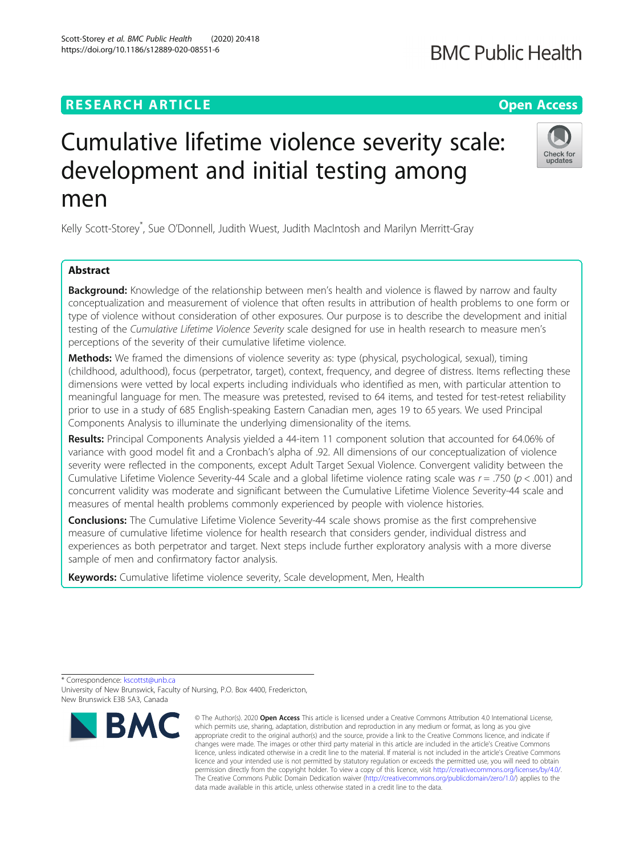# **RESEARCH ARTICLE Example 2014 12:30 The Contract of Contract ACCESS**

# Cumulative lifetime violence severity scale: development and initial testing among men

Kelly Scott-Storey\* , Sue O'Donnell, Judith Wuest, Judith MacIntosh and Marilyn Merritt-Gray

# Abstract

**Background:** Knowledge of the relationship between men's health and violence is flawed by narrow and faulty conceptualization and measurement of violence that often results in attribution of health problems to one form or type of violence without consideration of other exposures. Our purpose is to describe the development and initial testing of the Cumulative Lifetime Violence Severity scale designed for use in health research to measure men's perceptions of the severity of their cumulative lifetime violence.

Methods: We framed the dimensions of violence severity as: type (physical, psychological, sexual), timing (childhood, adulthood), focus (perpetrator, target), context, frequency, and degree of distress. Items reflecting these dimensions were vetted by local experts including individuals who identified as men, with particular attention to meaningful language for men. The measure was pretested, revised to 64 items, and tested for test-retest reliability prior to use in a study of 685 English-speaking Eastern Canadian men, ages 19 to 65 years. We used Principal Components Analysis to illuminate the underlying dimensionality of the items.

Results: Principal Components Analysis yielded a 44-item 11 component solution that accounted for 64.06% of variance with good model fit and a Cronbach's alpha of .92. All dimensions of our conceptualization of violence severity were reflected in the components, except Adult Target Sexual Violence. Convergent validity between the Cumulative Lifetime Violence Severity-44 Scale and a global lifetime violence rating scale was  $r = .750$  ( $p < .001$ ) and concurrent validity was moderate and significant between the Cumulative Lifetime Violence Severity-44 scale and measures of mental health problems commonly experienced by people with violence histories.

**Conclusions:** The Cumulative Lifetime Violence Severity-44 scale shows promise as the first comprehensive measure of cumulative lifetime violence for health research that considers gender, individual distress and experiences as both perpetrator and target. Next steps include further exploratory analysis with a more diverse sample of men and confirmatory factor analysis.

Keywords: Cumulative lifetime violence severity, Scale development, Men, Health

\* Correspondence: [kscottst@unb.ca](mailto:kscottst@unb.ca)

University of New Brunswick, Faculty of Nursing, P.O. Box 4400, Fredericton, New Brunswick E3B 5A3, Canada



undates



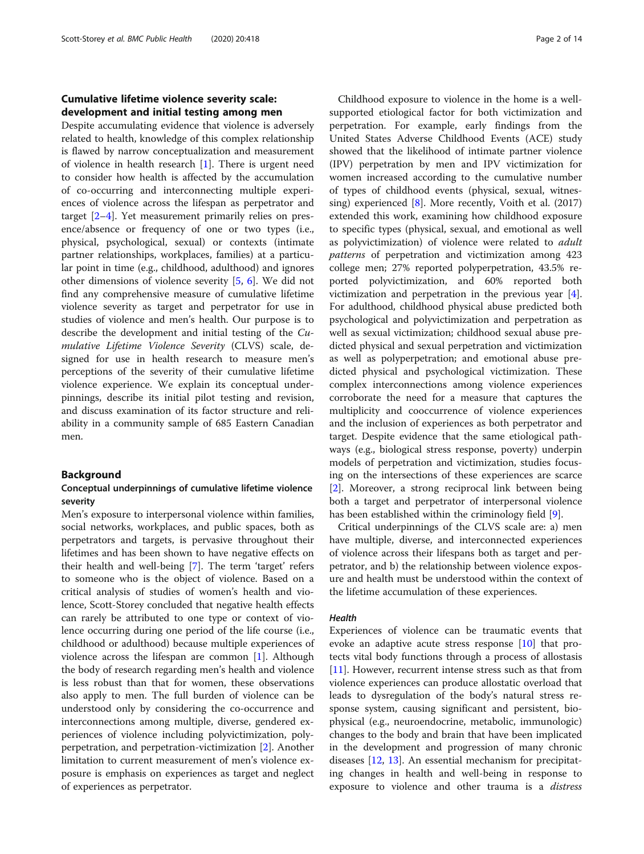# Cumulative lifetime violence severity scale: development and initial testing among men

Despite accumulating evidence that violence is adversely related to health, knowledge of this complex relationship is flawed by narrow conceptualization and measurement of violence in health research [[1\]](#page-12-0). There is urgent need to consider how health is affected by the accumulation of co-occurring and interconnecting multiple experiences of violence across the lifespan as perpetrator and target [\[2](#page-12-0)–[4](#page-12-0)]. Yet measurement primarily relies on presence/absence or frequency of one or two types (i.e., physical, psychological, sexual) or contexts (intimate partner relationships, workplaces, families) at a particular point in time (e.g., childhood, adulthood) and ignores other dimensions of violence severity [[5,](#page-12-0) [6\]](#page-12-0). We did not find any comprehensive measure of cumulative lifetime violence severity as target and perpetrator for use in studies of violence and men's health. Our purpose is to describe the development and initial testing of the  $Cu$ mulative Lifetime Violence Severity (CLVS) scale, designed for use in health research to measure men's perceptions of the severity of their cumulative lifetime violence experience. We explain its conceptual underpinnings, describe its initial pilot testing and revision, and discuss examination of its factor structure and reliability in a community sample of 685 Eastern Canadian men.

# Background

# Conceptual underpinnings of cumulative lifetime violence severity

Men's exposure to interpersonal violence within families, social networks, workplaces, and public spaces, both as perpetrators and targets, is pervasive throughout their lifetimes and has been shown to have negative effects on their health and well-being [[7\]](#page-12-0). The term 'target' refers to someone who is the object of violence. Based on a critical analysis of studies of women's health and violence, Scott-Storey concluded that negative health effects can rarely be attributed to one type or context of violence occurring during one period of the life course (i.e., childhood or adulthood) because multiple experiences of violence across the lifespan are common [\[1](#page-12-0)]. Although the body of research regarding men's health and violence is less robust than that for women, these observations also apply to men. The full burden of violence can be understood only by considering the co-occurrence and interconnections among multiple, diverse, gendered experiences of violence including polyvictimization, polyperpetration, and perpetration-victimization [\[2](#page-12-0)]. Another limitation to current measurement of men's violence exposure is emphasis on experiences as target and neglect of experiences as perpetrator.

Childhood exposure to violence in the home is a wellsupported etiological factor for both victimization and perpetration. For example, early findings from the United States Adverse Childhood Events (ACE) study showed that the likelihood of intimate partner violence (IPV) perpetration by men and IPV victimization for women increased according to the cumulative number of types of childhood events (physical, sexual, witnessing) experienced [[8\]](#page-12-0). More recently, Voith et al. (2017) extended this work, examining how childhood exposure to specific types (physical, sexual, and emotional as well as polyvictimization) of violence were related to adult patterns of perpetration and victimization among 423 college men; 27% reported polyperpetration, 43.5% reported polyvictimization, and 60% reported both victimization and perpetration in the previous year [\[4](#page-12-0)]. For adulthood, childhood physical abuse predicted both psychological and polyvictimization and perpetration as well as sexual victimization; childhood sexual abuse predicted physical and sexual perpetration and victimization as well as polyperpetration; and emotional abuse predicted physical and psychological victimization. These complex interconnections among violence experiences corroborate the need for a measure that captures the multiplicity and cooccurrence of violence experiences and the inclusion of experiences as both perpetrator and target. Despite evidence that the same etiological pathways (e.g., biological stress response, poverty) underpin models of perpetration and victimization, studies focusing on the intersections of these experiences are scarce [[2\]](#page-12-0). Moreover, a strong reciprocal link between being both a target and perpetrator of interpersonal violence has been established within the criminology field [\[9\]](#page-12-0).

Critical underpinnings of the CLVS scale are: a) men have multiple, diverse, and interconnected experiences of violence across their lifespans both as target and perpetrator, and b) the relationship between violence exposure and health must be understood within the context of the lifetime accumulation of these experiences.

# **Health**

Experiences of violence can be traumatic events that evoke an adaptive acute stress response [[10](#page-12-0)] that protects vital body functions through a process of allostasis [[11\]](#page-12-0). However, recurrent intense stress such as that from violence experiences can produce allostatic overload that leads to dysregulation of the body's natural stress response system, causing significant and persistent, biophysical (e.g., neuroendocrine, metabolic, immunologic) changes to the body and brain that have been implicated in the development and progression of many chronic diseases [[12](#page-12-0), [13\]](#page-12-0). An essential mechanism for precipitating changes in health and well-being in response to exposure to violence and other trauma is a *distress*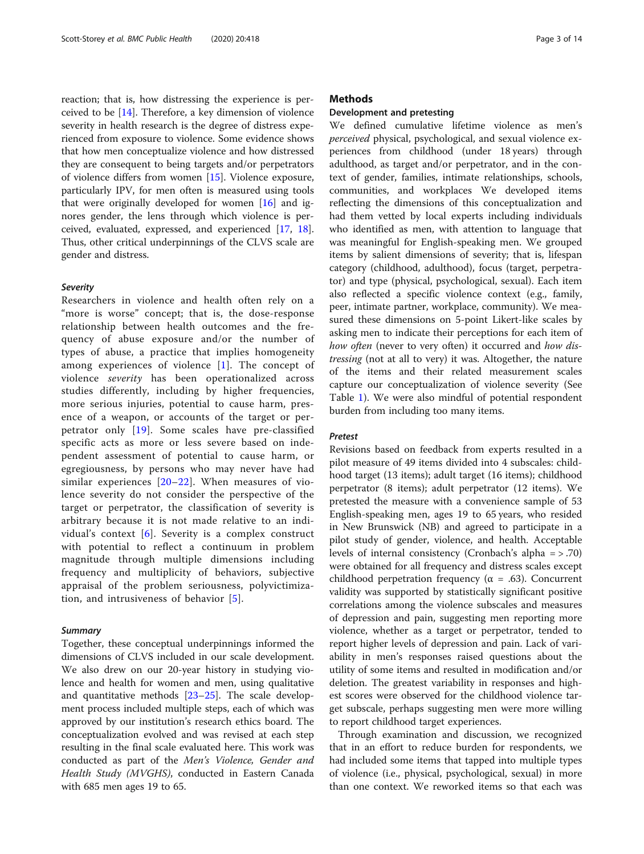reaction; that is, how distressing the experience is perceived to be [\[14](#page-12-0)]. Therefore, a key dimension of violence severity in health research is the degree of distress experienced from exposure to violence. Some evidence shows that how men conceptualize violence and how distressed they are consequent to being targets and/or perpetrators of violence differs from women [[15\]](#page-12-0). Violence exposure, particularly IPV, for men often is measured using tools that were originally developed for women  $[16]$  $[16]$  and ignores gender, the lens through which violence is perceived, evaluated, expressed, and experienced [[17](#page-12-0), [18](#page-12-0)]. Thus, other critical underpinnings of the CLVS scale are gender and distress.

# Severity

Researchers in violence and health often rely on a "more is worse" concept; that is, the dose-response relationship between health outcomes and the frequency of abuse exposure and/or the number of types of abuse, a practice that implies homogeneity among experiences of violence [\[1](#page-12-0)]. The concept of violence severity has been operationalized across studies differently, including by higher frequencies, more serious injuries, potential to cause harm, presence of a weapon, or accounts of the target or perpetrator only [[19\]](#page-12-0). Some scales have pre-classified specific acts as more or less severe based on independent assessment of potential to cause harm, or egregiousness, by persons who may never have had similar experiences [[20](#page-12-0)–[22](#page-12-0)]. When measures of violence severity do not consider the perspective of the target or perpetrator, the classification of severity is arbitrary because it is not made relative to an individual's context  $[6]$  $[6]$ . Severity is a complex construct with potential to reflect a continuum in problem magnitude through multiple dimensions including frequency and multiplicity of behaviors, subjective appraisal of the problem seriousness, polyvictimization, and intrusiveness of behavior [[5\]](#page-12-0).

# **Summary**

Together, these conceptual underpinnings informed the dimensions of CLVS included in our scale development. We also drew on our 20-year history in studying violence and health for women and men, using qualitative and quantitative methods [[23](#page-12-0)–[25](#page-12-0)]. The scale development process included multiple steps, each of which was approved by our institution's research ethics board. The conceptualization evolved and was revised at each step resulting in the final scale evaluated here. This work was conducted as part of the Men's Violence, Gender and Health Study (MVGHS), conducted in Eastern Canada with 685 men ages 19 to 65.

# **Methods**

# Development and pretesting

We defined cumulative lifetime violence as men's perceived physical, psychological, and sexual violence experiences from childhood (under 18 years) through adulthood, as target and/or perpetrator, and in the context of gender, families, intimate relationships, schools, communities, and workplaces We developed items reflecting the dimensions of this conceptualization and had them vetted by local experts including individuals who identified as men, with attention to language that was meaningful for English-speaking men. We grouped items by salient dimensions of severity; that is, lifespan category (childhood, adulthood), focus (target, perpetrator) and type (physical, psychological, sexual). Each item also reflected a specific violence context (e.g., family, peer, intimate partner, workplace, community). We measured these dimensions on 5-point Likert-like scales by asking men to indicate their perceptions for each item of how often (never to very often) it occurred and how distressing (not at all to very) it was. Altogether, the nature of the items and their related measurement scales capture our conceptualization of violence severity (See Table [1](#page-3-0)). We were also mindful of potential respondent burden from including too many items.

# Pretest

Revisions based on feedback from experts resulted in a pilot measure of 49 items divided into 4 subscales: childhood target (13 items); adult target (16 items); childhood perpetrator (8 items); adult perpetrator (12 items). We pretested the measure with a convenience sample of 53 English-speaking men, ages 19 to 65 years, who resided in New Brunswick (NB) and agreed to participate in a pilot study of gender, violence, and health. Acceptable levels of internal consistency (Cronbach's alpha = > .70) were obtained for all frequency and distress scales except childhood perpetration frequency ( $\alpha$  = .63). Concurrent validity was supported by statistically significant positive correlations among the violence subscales and measures of depression and pain, suggesting men reporting more violence, whether as a target or perpetrator, tended to report higher levels of depression and pain. Lack of variability in men's responses raised questions about the utility of some items and resulted in modification and/or deletion. The greatest variability in responses and highest scores were observed for the childhood violence target subscale, perhaps suggesting men were more willing to report childhood target experiences.

Through examination and discussion, we recognized that in an effort to reduce burden for respondents, we had included some items that tapped into multiple types of violence (i.e., physical, psychological, sexual) in more than one context. We reworked items so that each was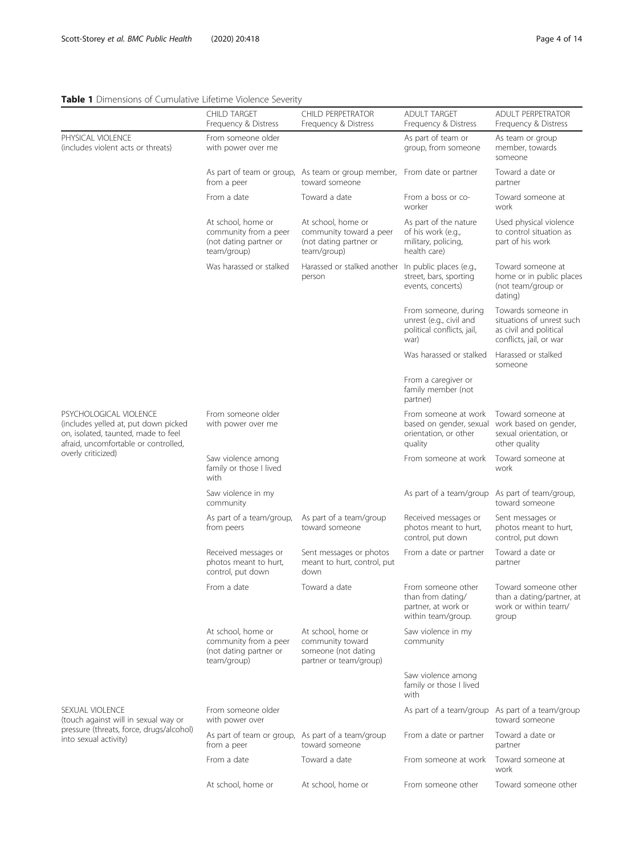# <span id="page-3-0"></span>Table 1 Dimensions of Cumulative Lifetime Violence Severity

|                                                                                                                                               | <b>CHILD TARGET</b><br>Frequency & Distress                                          | CHILD PERPETRATOR<br>Frequency & Distress                                                 | ADULT TARGET<br>Frequency & Distress                                                  | ADULT PERPETRATOR<br>Frequency & Distress                                                            |
|-----------------------------------------------------------------------------------------------------------------------------------------------|--------------------------------------------------------------------------------------|-------------------------------------------------------------------------------------------|---------------------------------------------------------------------------------------|------------------------------------------------------------------------------------------------------|
| PHYSICAL VIOLENCE<br>(includes violent acts or threats)                                                                                       | From someone older<br>with power over me                                             |                                                                                           | As part of team or<br>group, from someone                                             | As team or group<br>member, towards<br>someone                                                       |
|                                                                                                                                               | from a peer                                                                          | As part of team or group, As team or group member, From date or partner<br>toward someone |                                                                                       | Toward a date or<br>partner                                                                          |
|                                                                                                                                               | From a date                                                                          | Toward a date                                                                             | From a boss or co-<br>worker                                                          | Toward someone at<br>work                                                                            |
|                                                                                                                                               | At school, home or<br>community from a peer<br>(not dating partner or<br>team/group) | At school, home or<br>community toward a peer<br>(not dating partner or<br>team/group)    | As part of the nature<br>of his work (e.g.,<br>military, policing,<br>health care)    | Used physical violence<br>to control situation as<br>part of his work                                |
|                                                                                                                                               | Was harassed or stalked                                                              | Harassed or stalked another In public places (e.g.,<br>person                             | street, bars, sporting<br>events, concerts)                                           | Toward someone at<br>home or in public places<br>(not team/group or<br>dating)                       |
|                                                                                                                                               |                                                                                      |                                                                                           | From someone, during<br>unrest (e.g., civil and<br>political conflicts, jail,<br>war) | Towards someone in<br>situations of unrest such<br>as civil and political<br>conflicts, jail, or war |
|                                                                                                                                               |                                                                                      |                                                                                           | Was harassed or stalked                                                               | Harassed or stalked<br>someone                                                                       |
|                                                                                                                                               |                                                                                      |                                                                                           | From a caregiver or<br>family member (not<br>partner)                                 |                                                                                                      |
| PSYCHOLOGICAL VIOLENCE<br>(includes yelled at, put down picked<br>on, isolated, taunted, made to feel<br>afraid, uncomfortable or controlled, | From someone older<br>with power over me                                             |                                                                                           | From someone at work<br>based on gender, sexual<br>orientation, or other<br>quality   | Toward someone at<br>work based on gender,<br>sexual orientation, or<br>other quality                |
| overly criticized)                                                                                                                            | Saw violence among<br>family or those I lived<br>with                                |                                                                                           | From someone at work                                                                  | Toward someone at<br>work                                                                            |
|                                                                                                                                               | Saw violence in my<br>community                                                      |                                                                                           | As part of a team/group                                                               | As part of team/group,<br>toward someone                                                             |
|                                                                                                                                               | As part of a team/group,<br>from peers                                               | As part of a team/group<br>toward someone                                                 | Received messages or<br>photos meant to hurt,<br>control, put down                    | Sent messages or<br>photos meant to hurt,<br>control, put down                                       |
|                                                                                                                                               | Received messages or<br>photos meant to hurt,<br>control, put down                   | Sent messages or photos<br>meant to hurt, control, put<br>down                            | From a date or partner                                                                | Toward a date or<br>partner                                                                          |
|                                                                                                                                               | From a date                                                                          | Toward a date                                                                             | From someone other<br>than from dating/<br>partner, at work or<br>within team/group.  | Toward someone other<br>than a dating/partner, at<br>work or within team/<br>group                   |
|                                                                                                                                               | At school, home or<br>community from a peer<br>(not dating partner or<br>team/group) | At school, home or<br>community toward<br>someone (not dating<br>partner or team/group)   | Saw violence in my<br>community                                                       |                                                                                                      |
|                                                                                                                                               |                                                                                      |                                                                                           | Saw violence among<br>family or those I lived<br>with                                 |                                                                                                      |
| SEXUAL VIOLENCE<br>(touch against will in sexual way or                                                                                       | From someone older<br>with power over                                                |                                                                                           |                                                                                       | As part of a team/group As part of a team/group<br>toward someone                                    |
| pressure (threats, force, drugs/alcohol)<br>into sexual activity)                                                                             | As part of team or group, As part of a team/group<br>from a peer                     | toward someone                                                                            | From a date or partner                                                                | Toward a date or<br>partner                                                                          |
|                                                                                                                                               | From a date                                                                          | Toward a date                                                                             | From someone at work                                                                  | Toward someone at<br>work                                                                            |
|                                                                                                                                               | At school, home or                                                                   | At school, home or                                                                        | From someone other                                                                    | Toward someone other                                                                                 |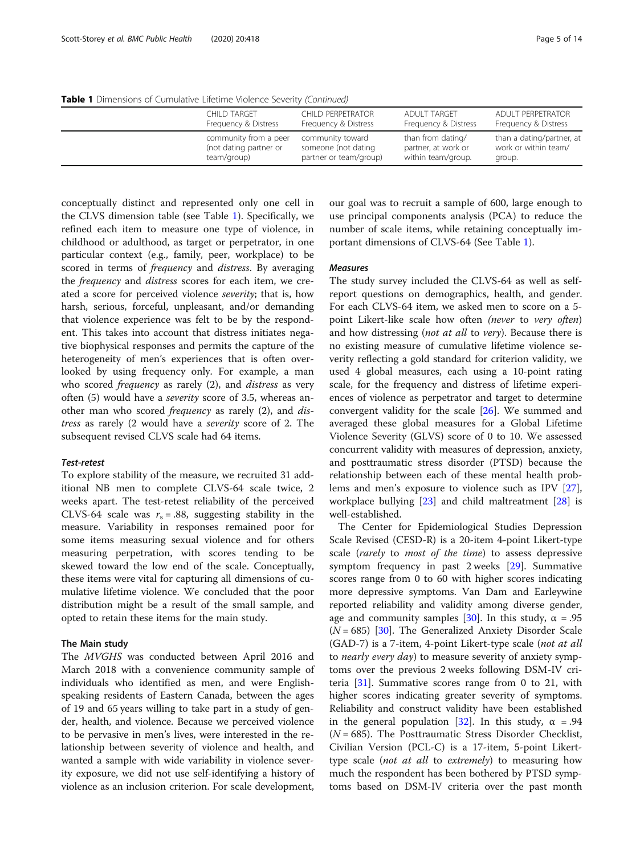Table 1 Dimensions of Cumulative Lifetime Violence Severity (Continued)

| <b>CHILD TARGET</b>    | CHILD PERPETRATOR      | ADULT TARGET         | ADULT PERPETRATOR         |
|------------------------|------------------------|----------------------|---------------------------|
| Frequency & Distress   | Frequency & Distress   | Frequency & Distress | Frequency & Distress      |
| community from a peer  | community toward       | than from dating/    | than a dating/partner, at |
| (not dating partner or | someone (not dating    | partner, at work or  | work or within team/      |
| team/group)            | partner or team/group) | within team/group.   | group.                    |

conceptually distinct and represented only one cell in the CLVS dimension table (see Table [1\)](#page-3-0). Specifically, we refined each item to measure one type of violence, in childhood or adulthood, as target or perpetrator, in one particular context (e.g., family, peer, workplace) to be scored in terms of *frequency* and *distress*. By averaging the frequency and distress scores for each item, we created a score for perceived violence severity; that is, how harsh, serious, forceful, unpleasant, and/or demanding that violence experience was felt to be by the respondent. This takes into account that distress initiates negative biophysical responses and permits the capture of the heterogeneity of men's experiences that is often overlooked by using frequency only. For example, a man who scored *frequency* as rarely (2), and *distress* as very often (5) would have a severity score of 3.5, whereas another man who scored *frequency* as rarely (2), and *dis*tress as rarely (2 would have a severity score of 2. The subsequent revised CLVS scale had 64 items.

# Test-retest

To explore stability of the measure, we recruited 31 additional NB men to complete CLVS-64 scale twice, 2 weeks apart. The test-retest reliability of the perceived CLVS-64 scale was  $r_s = .88$ , suggesting stability in the measure. Variability in responses remained poor for some items measuring sexual violence and for others measuring perpetration, with scores tending to be skewed toward the low end of the scale. Conceptually, these items were vital for capturing all dimensions of cumulative lifetime violence. We concluded that the poor distribution might be a result of the small sample, and opted to retain these items for the main study.

# The Main study

The MVGHS was conducted between April 2016 and March 2018 with a convenience community sample of individuals who identified as men, and were Englishspeaking residents of Eastern Canada, between the ages of 19 and 65 years willing to take part in a study of gender, health, and violence. Because we perceived violence to be pervasive in men's lives, were interested in the relationship between severity of violence and health, and wanted a sample with wide variability in violence severity exposure, we did not use self-identifying a history of violence as an inclusion criterion. For scale development, our goal was to recruit a sample of 600, large enough to use principal components analysis (PCA) to reduce the number of scale items, while retaining conceptually important dimensions of CLVS-64 (See Table [1](#page-3-0)).

# Measures

The study survey included the CLVS-64 as well as selfreport questions on demographics, health, and gender. For each CLVS-64 item, we asked men to score on a 5 point Likert-like scale how often (never to very often) and how distressing (not at all to very). Because there is no existing measure of cumulative lifetime violence severity reflecting a gold standard for criterion validity, we used 4 global measures, each using a 10-point rating scale, for the frequency and distress of lifetime experiences of violence as perpetrator and target to determine convergent validity for the scale [[26\]](#page-12-0). We summed and averaged these global measures for a Global Lifetime Violence Severity (GLVS) score of 0 to 10. We assessed concurrent validity with measures of depression, anxiety, and posttraumatic stress disorder (PTSD) because the relationship between each of these mental health problems and men's exposure to violence such as IPV [\[27](#page-12-0)], workplace bullying [[23\]](#page-12-0) and child maltreatment [[28\]](#page-12-0) is well-established.

The Center for Epidemiological Studies Depression Scale Revised (CESD-R) is a 20-item 4-point Likert-type scale (rarely to most of the time) to assess depressive symptom frequency in past 2 weeks [[29\]](#page-12-0). Summative scores range from 0 to 60 with higher scores indicating more depressive symptoms. Van Dam and Earleywine reported reliability and validity among diverse gender, age and community samples [\[30](#page-12-0)]. In this study,  $\alpha = .95$  $(N = 685)$  [[30\]](#page-12-0). The Generalized Anxiety Disorder Scale (GAD-7) is a 7-item, 4-point Likert-type scale (not at all to *nearly every day*) to measure severity of anxiety symptoms over the previous 2 weeks following DSM-IV criteria  $[31]$  $[31]$  $[31]$ . Summative scores range from 0 to 21, with higher scores indicating greater severity of symptoms. Reliability and construct validity have been established in the general population [[32\]](#page-12-0). In this study,  $\alpha = .94$  $(N = 685)$ . The Posttraumatic Stress Disorder Checklist, Civilian Version (PCL-C) is a 17-item, 5-point Likerttype scale (*not at all* to *extremely*) to measuring how much the respondent has been bothered by PTSD symptoms based on DSM-IV criteria over the past month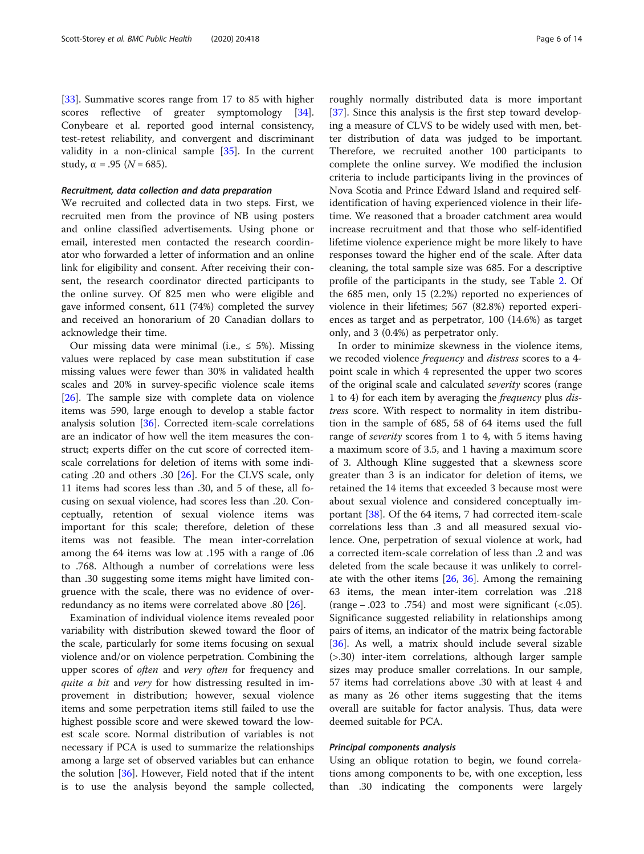[[33\]](#page-12-0). Summative scores range from 17 to 85 with higher scores reflective of greater symptomology [\[34](#page-12-0)]. Conybeare et al. reported good internal consistency, test-retest reliability, and convergent and discriminant validity in a non-clinical sample [[35\]](#page-12-0). In the current study,  $\alpha = .95$  ( $N = 685$ ).

# Recruitment, data collection and data preparation

We recruited and collected data in two steps. First, we recruited men from the province of NB using posters and online classified advertisements. Using phone or email, interested men contacted the research coordinator who forwarded a letter of information and an online link for eligibility and consent. After receiving their consent, the research coordinator directed participants to the online survey. Of 825 men who were eligible and gave informed consent, 611 (74%) completed the survey and received an honorarium of 20 Canadian dollars to acknowledge their time.

Our missing data were minimal (i.e.,  $\leq$  5%). Missing values were replaced by case mean substitution if case missing values were fewer than 30% in validated health scales and 20% in survey-specific violence scale items [[26\]](#page-12-0). The sample size with complete data on violence items was 590, large enough to develop a stable factor analysis solution [[36](#page-12-0)]. Corrected item-scale correlations are an indicator of how well the item measures the construct; experts differ on the cut score of corrected itemscale correlations for deletion of items with some indicating .20 and others .30 [\[26](#page-12-0)]. For the CLVS scale, only 11 items had scores less than .30, and 5 of these, all focusing on sexual violence, had scores less than .20. Conceptually, retention of sexual violence items was important for this scale; therefore, deletion of these items was not feasible. The mean inter-correlation among the 64 items was low at .195 with a range of .06 to .768. Although a number of correlations were less than .30 suggesting some items might have limited congruence with the scale, there was no evidence of overredundancy as no items were correlated above .80 [[26\]](#page-12-0).

Examination of individual violence items revealed poor variability with distribution skewed toward the floor of the scale, particularly for some items focusing on sexual violence and/or on violence perpetration. Combining the upper scores of often and very often for frequency and quite a bit and very for how distressing resulted in improvement in distribution; however, sexual violence items and some perpetration items still failed to use the highest possible score and were skewed toward the lowest scale score. Normal distribution of variables is not necessary if PCA is used to summarize the relationships among a large set of observed variables but can enhance the solution [\[36](#page-12-0)]. However, Field noted that if the intent is to use the analysis beyond the sample collected,

roughly normally distributed data is more important [[37\]](#page-12-0). Since this analysis is the first step toward developing a measure of CLVS to be widely used with men, better distribution of data was judged to be important. Therefore, we recruited another 100 participants to complete the online survey. We modified the inclusion criteria to include participants living in the provinces of Nova Scotia and Prince Edward Island and required selfidentification of having experienced violence in their lifetime. We reasoned that a broader catchment area would increase recruitment and that those who self-identified lifetime violence experience might be more likely to have responses toward the higher end of the scale. After data cleaning, the total sample size was 685. For a descriptive profile of the participants in the study, see Table [2.](#page-6-0) Of the 685 men, only 15 (2.2%) reported no experiences of violence in their lifetimes; 567 (82.8%) reported experiences as target and as perpetrator, 100 (14.6%) as target only, and 3 (0.4%) as perpetrator only.

In order to minimize skewness in the violence items, we recoded violence frequency and distress scores to a 4 point scale in which 4 represented the upper two scores of the original scale and calculated severity scores (range 1 to 4) for each item by averaging the *frequency* plus *dis*tress score. With respect to normality in item distribution in the sample of 685, 58 of 64 items used the full range of *severity* scores from 1 to 4, with 5 items having a maximum score of 3.5, and 1 having a maximum score of 3. Although Kline suggested that a skewness score greater than 3 is an indicator for deletion of items, we retained the 14 items that exceeded 3 because most were about sexual violence and considered conceptually important [\[38\]](#page-13-0). Of the 64 items, 7 had corrected item-scale correlations less than .3 and all measured sexual violence. One, perpetration of sexual violence at work, had a corrected item-scale correlation of less than .2 and was deleted from the scale because it was unlikely to correlate with the other items  $[26, 36]$  $[26, 36]$  $[26, 36]$ . Among the remaining 63 items, the mean inter-item correlation was .218 (range − .023 to .754) and most were significant (<.05). Significance suggested reliability in relationships among pairs of items, an indicator of the matrix being factorable [[36\]](#page-12-0). As well, a matrix should include several sizable (>.30) inter-item correlations, although larger sample sizes may produce smaller correlations. In our sample, 57 items had correlations above .30 with at least 4 and as many as 26 other items suggesting that the items overall are suitable for factor analysis. Thus, data were deemed suitable for PCA.

# Principal components analysis

Using an oblique rotation to begin, we found correlations among components to be, with one exception, less than .30 indicating the components were largely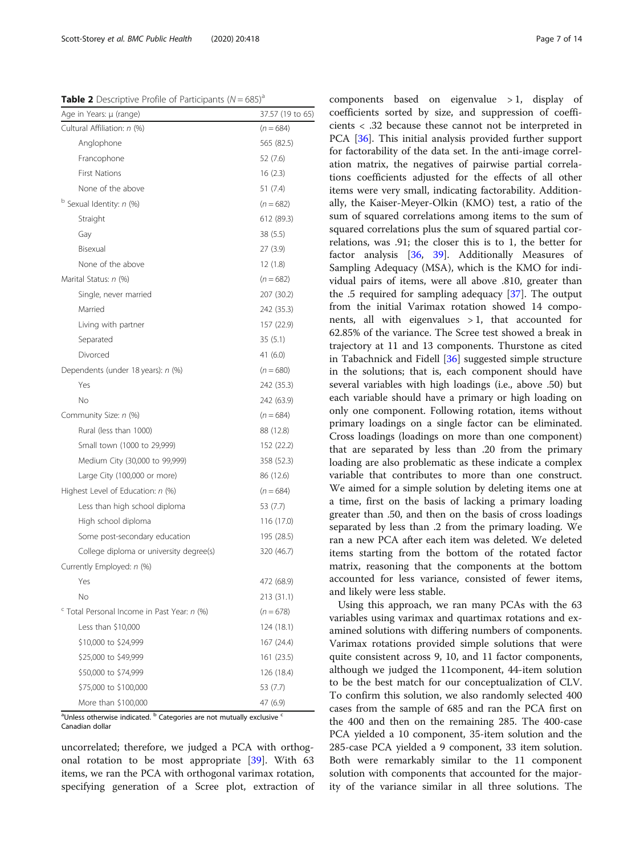<span id="page-6-0"></span>**Table 2** Descriptive Profile of Participants  $(N = 685)^a$ 

| Age in Years: µ (range)                                | 37.57 (19 to 65) |
|--------------------------------------------------------|------------------|
| Cultural Affiliation: n (%)                            | $(n = 684)$      |
| Anglophone                                             | 565 (82.5)       |
| Francophone                                            | 52 (7.6)         |
| <b>First Nations</b>                                   | 16(2.3)          |
| None of the above                                      | 51 (7.4)         |
| <sup>b</sup> Sexual Identity: n (%)                    | $(n = 682)$      |
| Straight                                               | 612 (89.3)       |
| Gay                                                    | 38 (5.5)         |
| Bisexual                                               | 27 (3.9)         |
| None of the above                                      | 12(1.8)          |
| Marital Status: n (%)                                  | $(n = 682)$      |
| Single, never married                                  | 207 (30.2)       |
| Married                                                | 242 (35.3)       |
| Living with partner                                    | 157 (22.9)       |
| Separated                                              | 35(5.1)          |
| Divorced                                               | 41 $(6.0)$       |
| Dependents (under 18 years): n (%)                     | $(n = 680)$      |
| Yes                                                    | 242 (35.3)       |
| No                                                     | 242 (63.9)       |
| Community Size: n (%)                                  | $(n = 684)$      |
| Rural (less than 1000)                                 | 88 (12.8)        |
| Small town (1000 to 29,999)                            | 152 (22.2)       |
| Medium City (30,000 to 99,999)                         | 358 (52.3)       |
| Large City (100,000 or more)                           | 86 (12.6)        |
| Highest Level of Education: n (%)                      | $(n = 684)$      |
| Less than high school diploma                          | 53 (7.7)         |
| High school diploma                                    | 116 (17.0)       |
| Some post-secondary education                          | 195 (28.5)       |
| College diploma or university degree(s)                | 320 (46.7)       |
| Currently Employed: n (%)                              |                  |
| Yes                                                    | 472 (68.9)       |
| No                                                     | 213 (31.1)       |
| <sup>c</sup> Total Personal Income in Past Year: n (%) | $(n = 678)$      |
| Less than \$10,000                                     | 124 (18.1)       |
| \$10,000 to \$24,999                                   | 167 (24.4)       |
| \$25,000 to \$49,999                                   | 161 (23.5)       |
| \$50,000 to \$74,999                                   | 126 (18.4)       |
| \$75,000 to \$100,000                                  | 53 (7.7)         |
| More than \$100,000                                    | 47 (6.9)         |

<sup>a</sup>Unless otherwise indicated. <sup>b</sup> Categories are not mutually exclusive <sup>c</sup> Canadian dollar

uncorrelated; therefore, we judged a PCA with orthogonal rotation to be most appropriate [\[39](#page-13-0)]. With 63 items, we ran the PCA with orthogonal varimax rotation, specifying generation of a Scree plot, extraction of components based on eigenvalue  $>1$ , display of coefficients sorted by size, and suppression of coefficients < .32 because these cannot not be interpreted in PCA [\[36\]](#page-12-0). This initial analysis provided further support for factorability of the data set. In the anti-image correlation matrix, the negatives of pairwise partial correlations coefficients adjusted for the effects of all other items were very small, indicating factorability. Additionally, the Kaiser-Meyer-Olkin (KMO) test, a ratio of the sum of squared correlations among items to the sum of squared correlations plus the sum of squared partial correlations, was .91; the closer this is to 1, the better for factor analysis [\[36,](#page-12-0) [39](#page-13-0)]. Additionally Measures of Sampling Adequacy (MSA), which is the KMO for individual pairs of items, were all above .810, greater than the .5 required for sampling adequacy [\[37\]](#page-12-0). The output from the initial Varimax rotation showed 14 components, all with eigenvalues  $>1$ , that accounted for 62.85% of the variance. The Scree test showed a break in trajectory at 11 and 13 components. Thurstone as cited in Tabachnick and Fidell [\[36\]](#page-12-0) suggested simple structure in the solutions; that is, each component should have several variables with high loadings (i.e., above .50) but each variable should have a primary or high loading on only one component. Following rotation, items without primary loadings on a single factor can be eliminated. Cross loadings (loadings on more than one component) that are separated by less than .20 from the primary loading are also problematic as these indicate a complex variable that contributes to more than one construct. We aimed for a simple solution by deleting items one at a time, first on the basis of lacking a primary loading greater than .50, and then on the basis of cross loadings separated by less than .2 from the primary loading. We ran a new PCA after each item was deleted. We deleted items starting from the bottom of the rotated factor matrix, reasoning that the components at the bottom accounted for less variance, consisted of fewer items, and likely were less stable.

Using this approach, we ran many PCAs with the 63 variables using varimax and quartimax rotations and examined solutions with differing numbers of components. Varimax rotations provided simple solutions that were quite consistent across 9, 10, and 11 factor components, although we judged the 11component, 44-item solution to be the best match for our conceptualization of CLV. To confirm this solution, we also randomly selected 400 cases from the sample of 685 and ran the PCA first on the 400 and then on the remaining 285. The 400-case PCA yielded a 10 component, 35-item solution and the 285-case PCA yielded a 9 component, 33 item solution. Both were remarkably similar to the 11 component solution with components that accounted for the majority of the variance similar in all three solutions. The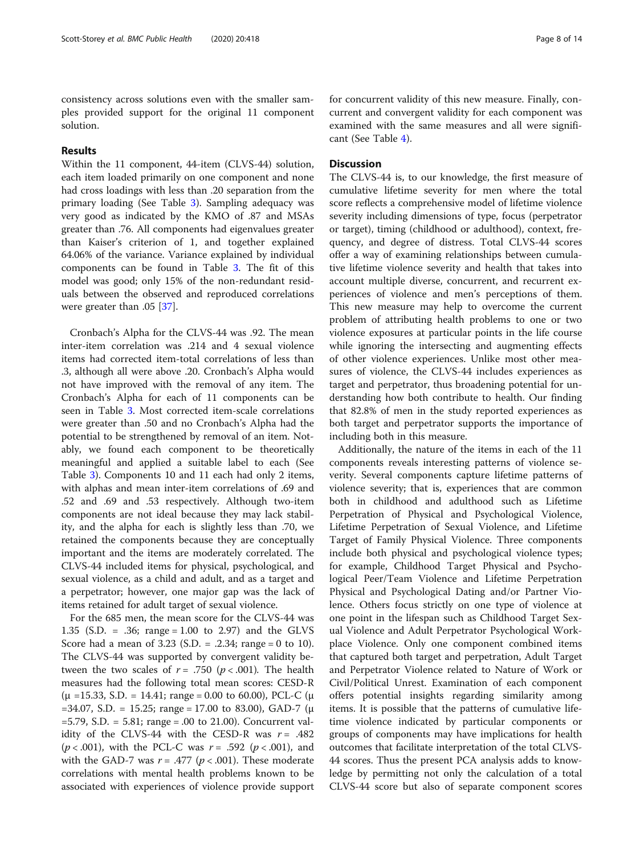consistency across solutions even with the smaller samples provided support for the original 11 component solution.

# Results

Within the 11 component, 44-item (CLVS-44) solution, each item loaded primarily on one component and none had cross loadings with less than .20 separation from the primary loading (See Table [3](#page-8-0)). Sampling adequacy was very good as indicated by the KMO of .87 and MSAs greater than .76. All components had eigenvalues greater than Kaiser's criterion of 1, and together explained 64.06% of the variance. Variance explained by individual components can be found in Table [3.](#page-8-0) The fit of this model was good; only 15% of the non-redundant residuals between the observed and reproduced correlations were greater than .05 [[37](#page-12-0)].

Cronbach's Alpha for the CLVS-44 was .92. The mean inter-item correlation was .214 and 4 sexual violence items had corrected item-total correlations of less than .3, although all were above .20. Cronbach's Alpha would not have improved with the removal of any item. The Cronbach's Alpha for each of 11 components can be seen in Table [3.](#page-8-0) Most corrected item-scale correlations were greater than .50 and no Cronbach's Alpha had the potential to be strengthened by removal of an item. Notably, we found each component to be theoretically meaningful and applied a suitable label to each (See Table [3\)](#page-8-0). Components 10 and 11 each had only 2 items, with alphas and mean inter-item correlations of .69 and .52 and .69 and .53 respectively. Although two-item components are not ideal because they may lack stability, and the alpha for each is slightly less than .70, we retained the components because they are conceptually important and the items are moderately correlated. The CLVS-44 included items for physical, psychological, and sexual violence, as a child and adult, and as a target and a perpetrator; however, one major gap was the lack of items retained for adult target of sexual violence.

For the 685 men, the mean score for the CLVS-44 was 1.35 (S.D. = .36; range = 1.00 to 2.97) and the GLVS Score had a mean of 3.23 (S.D. = .2.34; range = 0 to 10). The CLVS-44 was supported by convergent validity between the two scales of  $r = .750$  ( $p < .001$ ). The health measures had the following total mean scores: CESD-R  $(\mu =15.33, S.D. = 14.41; \text{ range} = 0.00 \text{ to } 60.00), PCL-C (\mu$  $=34.07$ , S.D. = 15.25; range = 17.00 to 83.00), GAD-7 ( $\mu$ =5.79, S.D. = 5.81; range = .00 to 21.00). Concurrent validity of the CLVS-44 with the CESD-R was  $r = .482$ ( $p < .001$ ), with the PCL-C was  $r = .592$  ( $p < .001$ ), and with the GAD-7 was  $r = .477$  ( $p < .001$ ). These moderate correlations with mental health problems known to be associated with experiences of violence provide support for concurrent validity of this new measure. Finally, concurrent and convergent validity for each component was examined with the same measures and all were significant (See Table [4\)](#page-11-0).

# **Discussion**

The CLVS-44 is, to our knowledge, the first measure of cumulative lifetime severity for men where the total score reflects a comprehensive model of lifetime violence severity including dimensions of type, focus (perpetrator or target), timing (childhood or adulthood), context, frequency, and degree of distress. Total CLVS-44 scores offer a way of examining relationships between cumulative lifetime violence severity and health that takes into account multiple diverse, concurrent, and recurrent experiences of violence and men's perceptions of them. This new measure may help to overcome the current problem of attributing health problems to one or two violence exposures at particular points in the life course while ignoring the intersecting and augmenting effects of other violence experiences. Unlike most other measures of violence, the CLVS-44 includes experiences as target and perpetrator, thus broadening potential for understanding how both contribute to health. Our finding that 82.8% of men in the study reported experiences as both target and perpetrator supports the importance of including both in this measure.

Additionally, the nature of the items in each of the 11 components reveals interesting patterns of violence severity. Several components capture lifetime patterns of violence severity; that is, experiences that are common both in childhood and adulthood such as Lifetime Perpetration of Physical and Psychological Violence, Lifetime Perpetration of Sexual Violence, and Lifetime Target of Family Physical Violence. Three components include both physical and psychological violence types; for example, Childhood Target Physical and Psychological Peer/Team Violence and Lifetime Perpetration Physical and Psychological Dating and/or Partner Violence. Others focus strictly on one type of violence at one point in the lifespan such as Childhood Target Sexual Violence and Adult Perpetrator Psychological Workplace Violence. Only one component combined items that captured both target and perpetration, Adult Target and Perpetrator Violence related to Nature of Work or Civil/Political Unrest. Examination of each component offers potential insights regarding similarity among items. It is possible that the patterns of cumulative lifetime violence indicated by particular components or groups of components may have implications for health outcomes that facilitate interpretation of the total CLVS-44 scores. Thus the present PCA analysis adds to knowledge by permitting not only the calculation of a total CLVS-44 score but also of separate component scores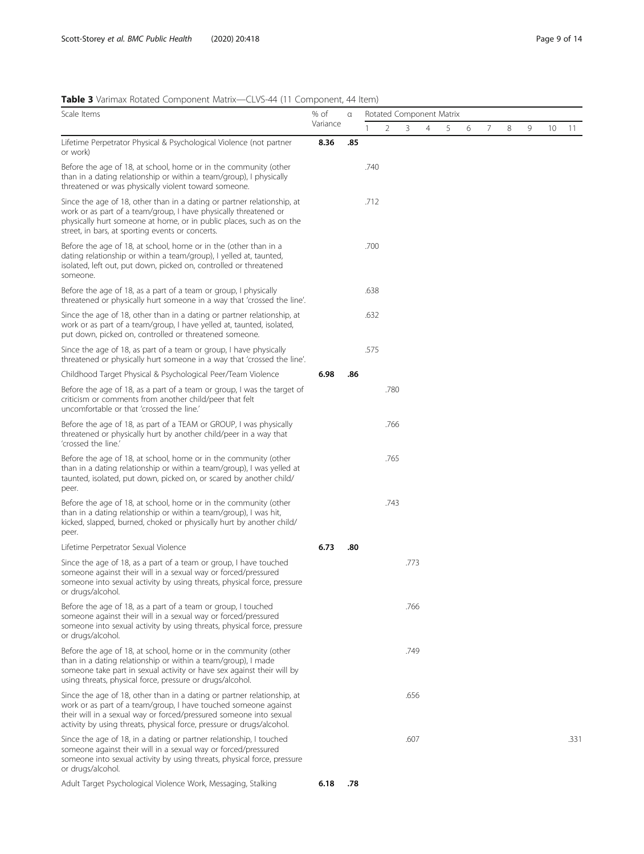# <span id="page-8-0"></span>Table 3 Varimax Rotated Component Matrix-CLVS-44 (11 Component, 44 Item)

| <b>Rable 3</b> Valifical notated Component Matrix-CEVS TT (TT Component, TT Item)<br>Scale Items                                                                                                                                                                                          | % of     | α   | Rotated Component Matrix |      |      |   |   |   |   |   |   |    |      |
|-------------------------------------------------------------------------------------------------------------------------------------------------------------------------------------------------------------------------------------------------------------------------------------------|----------|-----|--------------------------|------|------|---|---|---|---|---|---|----|------|
|                                                                                                                                                                                                                                                                                           | Variance |     |                          | 2    | 3    | 4 | 5 | 6 | 7 | 8 | 9 | 10 | 11   |
| Lifetime Perpetrator Physical & Psychological Violence (not partner<br>or work)                                                                                                                                                                                                           | 8.36     | .85 |                          |      |      |   |   |   |   |   |   |    |      |
| Before the age of 18, at school, home or in the community (other<br>than in a dating relationship or within a team/group), I physically<br>threatened or was physically violent toward someone.                                                                                           |          |     | .740                     |      |      |   |   |   |   |   |   |    |      |
| Since the age of 18, other than in a dating or partner relationship, at<br>work or as part of a team/group, I have physically threatened or<br>physically hurt someone at home, or in public places, such as on the<br>street, in bars, at sporting events or concerts.                   |          |     | .712                     |      |      |   |   |   |   |   |   |    |      |
| Before the age of 18, at school, home or in the (other than in a<br>dating relationship or within a team/group), I yelled at, taunted,<br>isolated, left out, put down, picked on, controlled or threatened<br>someone.                                                                   |          |     | .700                     |      |      |   |   |   |   |   |   |    |      |
| Before the age of 18, as a part of a team or group, I physically<br>threatened or physically hurt someone in a way that 'crossed the line'.                                                                                                                                               |          |     | .638                     |      |      |   |   |   |   |   |   |    |      |
| Since the age of 18, other than in a dating or partner relationship, at<br>work or as part of a team/group, I have yelled at, taunted, isolated,<br>put down, picked on, controlled or threatened someone.                                                                                |          |     | .632                     |      |      |   |   |   |   |   |   |    |      |
| Since the age of 18, as part of a team or group, I have physically<br>threatened or physically hurt someone in a way that 'crossed the line'.                                                                                                                                             |          |     | .575                     |      |      |   |   |   |   |   |   |    |      |
| Childhood Target Physical & Psychological Peer/Team Violence                                                                                                                                                                                                                              | 6.98     | .86 |                          |      |      |   |   |   |   |   |   |    |      |
| Before the age of 18, as a part of a team or group, I was the target of<br>criticism or comments from another child/peer that felt<br>uncomfortable or that 'crossed the line.'                                                                                                           |          |     |                          | .780 |      |   |   |   |   |   |   |    |      |
| Before the age of 18, as part of a TEAM or GROUP, I was physically<br>threatened or physically hurt by another child/peer in a way that<br>'crossed the line.'                                                                                                                            |          |     |                          | .766 |      |   |   |   |   |   |   |    |      |
| Before the age of 18, at school, home or in the community (other<br>than in a dating relationship or within a team/group), I was yelled at<br>taunted, isolated, put down, picked on, or scared by another child/<br>peer.                                                                |          |     |                          | .765 |      |   |   |   |   |   |   |    |      |
| Before the age of 18, at school, home or in the community (other<br>than in a dating relationship or within a team/group), I was hit,<br>kicked, slapped, burned, choked or physically hurt by another child/<br>peer.                                                                    |          |     |                          | .743 |      |   |   |   |   |   |   |    |      |
| Lifetime Perpetrator Sexual Violence                                                                                                                                                                                                                                                      | 6.73     | .80 |                          |      |      |   |   |   |   |   |   |    |      |
| Since the age of 18, as a part of a team or group, I have touched<br>someone against their will in a sexual way or forced/pressured<br>someone into sexual activity by using threats, physical force, pressure<br>or drugs/alcohol.                                                       |          |     |                          |      | .773 |   |   |   |   |   |   |    |      |
| Before the age of 18, as a part of a team or group, I touched<br>someone against their will in a sexual way or forced/pressured<br>someone into sexual activity by using threats, physical force, pressure<br>or drugs/alcohol.                                                           |          |     |                          |      | .766 |   |   |   |   |   |   |    |      |
| Before the age of 18, at school, home or in the community (other<br>than in a dating relationship or within a team/group), I made<br>someone take part in sexual activity or have sex against their will by<br>using threats, physical force, pressure or drugs/alcohol.                  |          |     |                          |      | .749 |   |   |   |   |   |   |    |      |
| Since the age of 18, other than in a dating or partner relationship, at<br>work or as part of a team/group, I have touched someone against<br>their will in a sexual way or forced/pressured someone into sexual<br>activity by using threats, physical force, pressure or drugs/alcohol. |          |     |                          |      | .656 |   |   |   |   |   |   |    |      |
| Since the age of 18, in a dating or partner relationship, I touched<br>someone against their will in a sexual way or forced/pressured<br>someone into sexual activity by using threats, physical force, pressure<br>or drugs/alcohol.                                                     |          |     |                          |      | .607 |   |   |   |   |   |   |    | .331 |
| Adult Target Psychological Violence Work, Messaging, Stalking                                                                                                                                                                                                                             | 6.18     | .78 |                          |      |      |   |   |   |   |   |   |    |      |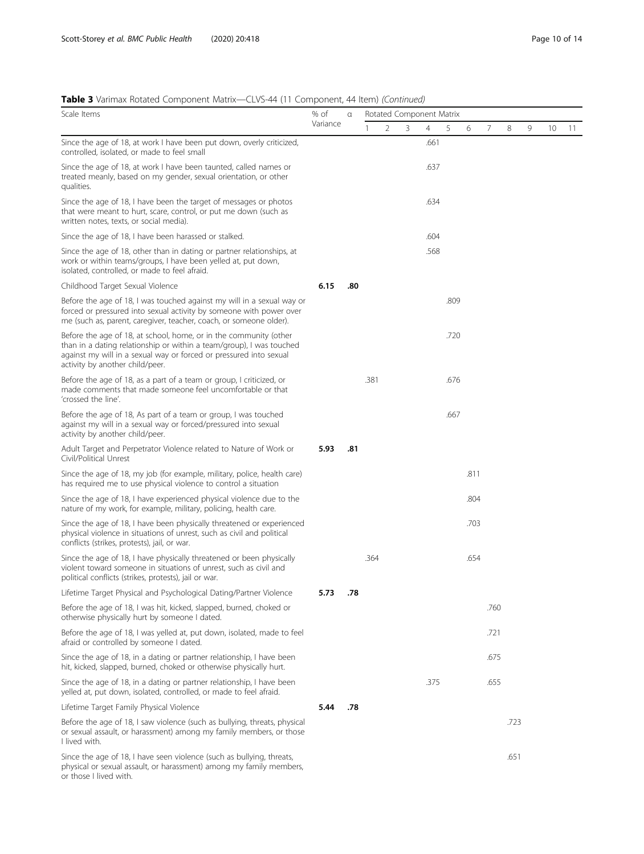# Table 3 Varimax Rotated Component Matrix-CLVS-44 (11 Component, 44 Item) (Continued)

| Scale Items                                                                                                                                                                                                                                        | % of     | $\alpha$ |              | Rotated Component Matrix |   |                |      |      |      |      |   |    |    |
|----------------------------------------------------------------------------------------------------------------------------------------------------------------------------------------------------------------------------------------------------|----------|----------|--------------|--------------------------|---|----------------|------|------|------|------|---|----|----|
|                                                                                                                                                                                                                                                    | Variance |          | $\mathbf{1}$ | $\overline{2}$           | 3 | $\overline{4}$ | 5    | 6    | 7    | 8    | 9 | 10 | 11 |
| Since the age of 18, at work I have been put down, overly criticized,<br>controlled, isolated, or made to feel small                                                                                                                               |          |          |              |                          |   | .661           |      |      |      |      |   |    |    |
| Since the age of 18, at work I have been taunted, called names or<br>treated meanly, based on my gender, sexual orientation, or other<br>qualities.                                                                                                |          |          |              |                          |   | .637           |      |      |      |      |   |    |    |
| Since the age of 18, I have been the target of messages or photos<br>that were meant to hurt, scare, control, or put me down (such as<br>written notes, texts, or social media).                                                                   |          |          |              |                          |   | .634           |      |      |      |      |   |    |    |
| Since the age of 18, I have been harassed or stalked.                                                                                                                                                                                              |          |          |              |                          |   | .604           |      |      |      |      |   |    |    |
| Since the age of 18, other than in dating or partner relationships, at<br>work or within teams/groups, I have been yelled at, put down,<br>isolated, controlled, or made to feel afraid.                                                           |          |          |              |                          |   | .568           |      |      |      |      |   |    |    |
| Childhood Target Sexual Violence                                                                                                                                                                                                                   | 6.15     | .80      |              |                          |   |                |      |      |      |      |   |    |    |
| Before the age of 18, I was touched against my will in a sexual way or<br>forced or pressured into sexual activity by someone with power over<br>me (such as, parent, caregiver, teacher, coach, or someone older).                                |          |          |              |                          |   |                | .809 |      |      |      |   |    |    |
| Before the age of 18, at school, home, or in the community (other<br>than in a dating relationship or within a team/group), I was touched<br>against my will in a sexual way or forced or pressured into sexual<br>activity by another child/peer. |          |          |              |                          |   |                | .720 |      |      |      |   |    |    |
| Before the age of 18, as a part of a team or group, I criticized, or<br>made comments that made someone feel uncomfortable or that<br>'crossed the line'.                                                                                          |          |          | .381         |                          |   |                | .676 |      |      |      |   |    |    |
| Before the age of 18, As part of a team or group, I was touched<br>against my will in a sexual way or forced/pressured into sexual<br>activity by another child/peer.                                                                              |          |          |              |                          |   |                | .667 |      |      |      |   |    |    |
| Adult Target and Perpetrator Violence related to Nature of Work or<br>Civil/Political Unrest                                                                                                                                                       | 5.93     | .81      |              |                          |   |                |      |      |      |      |   |    |    |
| Since the age of 18, my job (for example, military, police, health care)<br>has required me to use physical violence to control a situation                                                                                                        |          |          |              |                          |   |                |      | .811 |      |      |   |    |    |
| Since the age of 18, I have experienced physical violence due to the<br>nature of my work, for example, military, policing, health care.                                                                                                           |          |          |              |                          |   |                |      | .804 |      |      |   |    |    |
| Since the age of 18, I have been physically threatened or experienced<br>physical violence in situations of unrest, such as civil and political<br>conflicts (strikes, protests), jail, or war.                                                    |          |          |              |                          |   |                |      | .703 |      |      |   |    |    |
| Since the age of 18, I have physically threatened or been physically<br>violent toward someone in situations of unrest, such as civil and<br>political conflicts (strikes, protests), jail or war.                                                 |          |          | .364         |                          |   |                |      | .654 |      |      |   |    |    |
| Lifetime Target Physical and Psychological Dating/Partner Violence                                                                                                                                                                                 | 5.73     | .78      |              |                          |   |                |      |      |      |      |   |    |    |
| Before the age of 18, I was hit, kicked, slapped, burned, choked or<br>otherwise physically hurt by someone I dated.                                                                                                                               |          |          |              |                          |   |                |      |      | .760 |      |   |    |    |
| Before the age of 18, I was yelled at, put down, isolated, made to feel<br>afraid or controlled by someone I dated.                                                                                                                                |          |          |              |                          |   |                |      |      | .721 |      |   |    |    |
| Since the age of 18, in a dating or partner relationship, I have been<br>hit, kicked, slapped, burned, choked or otherwise physically hurt.                                                                                                        |          |          |              |                          |   |                |      |      | .675 |      |   |    |    |
| Since the age of 18, in a dating or partner relationship, I have been<br>yelled at, put down, isolated, controlled, or made to feel afraid.                                                                                                        |          |          |              |                          |   | .375           |      |      | .655 |      |   |    |    |
| Lifetime Target Family Physical Violence                                                                                                                                                                                                           | 5.44     | .78      |              |                          |   |                |      |      |      |      |   |    |    |
| Before the age of 18, I saw violence (such as bullying, threats, physical<br>or sexual assault, or harassment) among my family members, or those<br>I lived with.                                                                                  |          |          |              |                          |   |                |      |      |      | .723 |   |    |    |
| Since the age of 18, I have seen violence (such as bullying, threats,<br>physical or sexual assault, or harassment) among my family members,<br>or those I lived with.                                                                             |          |          |              |                          |   |                |      |      |      | .651 |   |    |    |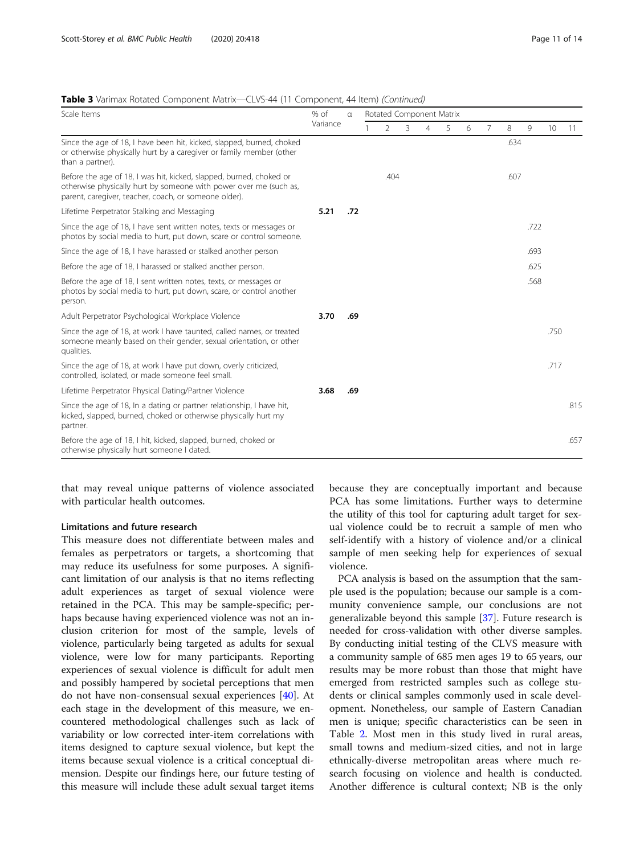#### Scale Items % of Variance α Rotated Component Matrix 1 2 3 4 5 6 7 8 9 10 11 Since the age of 18, I have been hit, kicked, slapped, burned, choked or otherwise physically hurt by a caregiver or family member (other than a partner). .634 Before the age of 18, I was hit, kicked, slapped, burned, choked or otherwise physically hurt by someone with power over me (such as, parent, caregiver, teacher, coach, or someone older). .404 .607 Lifetime Perpetrator Stalking and Messaging 5.21 .72 Since the age of 18, I have sent written notes, texts or messages or photos by social media to hurt, put down, scare or control someone. .722 Since the age of 18, I have harassed or stalked another person .693 Before the age of 18, I harassed or stalked another person. .625 Before the age of 18, I sent written notes, texts, or messages or photos by social media to hurt, put down, scare, or control another person. .568 Adult Perpetrator Psychological Workplace Violence **3.70 .69** Since the age of 18, at work I have taunted, called names, or treated someone meanly based on their gender, sexual orientation, or other qualities. .750 Since the age of 18, at work I have put down, overly criticized, controlled, isolated, or made someone feel small. .717 Lifetime Perpetrator Physical Dating/Partner Violence **3.68 .69** Since the age of 18, In a dating or partner relationship, I have hit, kicked, slapped, burned, choked or otherwise physically hurt my partner. .815 Before the age of 18, I hit, kicked, slapped, burned, choked or otherwise physically hurt someone I dated. .657

# **Table 3** Varimax Rotated Component Matrix—CLVS-44 (11 Component, 44 Item) (Continued)

that may reveal unique patterns of violence associated with particular health outcomes.

# Limitations and future research

This measure does not differentiate between males and females as perpetrators or targets, a shortcoming that may reduce its usefulness for some purposes. A significant limitation of our analysis is that no items reflecting adult experiences as target of sexual violence were retained in the PCA. This may be sample-specific; perhaps because having experienced violence was not an inclusion criterion for most of the sample, levels of violence, particularly being targeted as adults for sexual violence, were low for many participants. Reporting experiences of sexual violence is difficult for adult men and possibly hampered by societal perceptions that men do not have non-consensual sexual experiences [[40](#page-13-0)]. At each stage in the development of this measure, we encountered methodological challenges such as lack of variability or low corrected inter-item correlations with items designed to capture sexual violence, but kept the items because sexual violence is a critical conceptual dimension. Despite our findings here, our future testing of this measure will include these adult sexual target items

because they are conceptually important and because PCA has some limitations. Further ways to determine the utility of this tool for capturing adult target for sexual violence could be to recruit a sample of men who self-identify with a history of violence and/or a clinical sample of men seeking help for experiences of sexual violence.

PCA analysis is based on the assumption that the sample used is the population; because our sample is a community convenience sample, our conclusions are not generalizable beyond this sample [[37](#page-12-0)]. Future research is needed for cross-validation with other diverse samples. By conducting initial testing of the CLVS measure with a community sample of 685 men ages 19 to 65 years, our results may be more robust than those that might have emerged from restricted samples such as college students or clinical samples commonly used in scale development. Nonetheless, our sample of Eastern Canadian men is unique; specific characteristics can be seen in Table [2.](#page-6-0) Most men in this study lived in rural areas, small towns and medium-sized cities, and not in large ethnically-diverse metropolitan areas where much research focusing on violence and health is conducted. Another difference is cultural context; NB is the only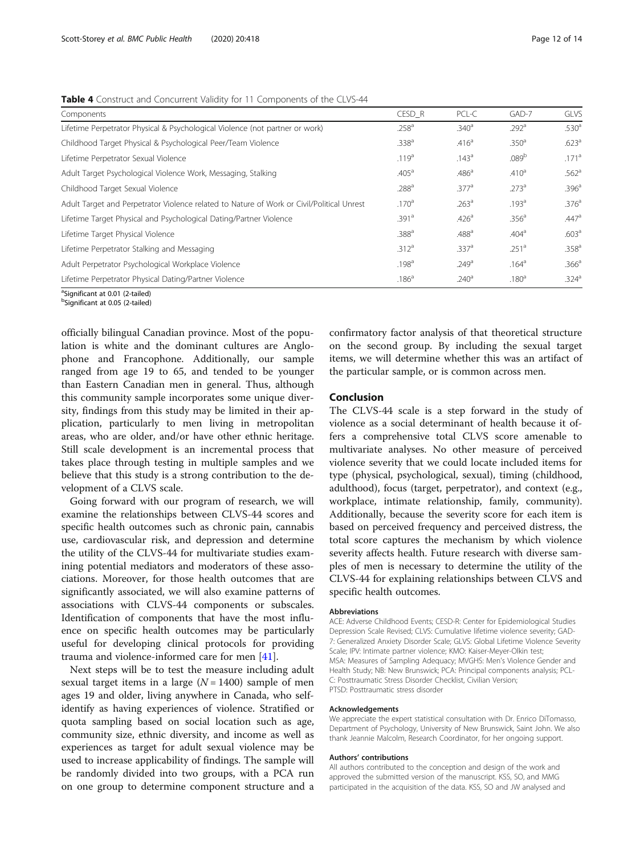| Components                                                                                | CESD R            | PCL-C             | GAD-7             | <b>GLVS</b>         |
|-------------------------------------------------------------------------------------------|-------------------|-------------------|-------------------|---------------------|
| Lifetime Perpetrator Physical & Psychological Violence (not partner or work)              | .258 <sup>a</sup> | .340 <sup>a</sup> | .292 <sup>a</sup> | .530 <sup>3</sup>   |
| Childhood Target Physical & Psychological Peer/Team Violence                              | .338 <sup>a</sup> | .416 <sup>a</sup> | .350 <sup>a</sup> | .623 <sup>8</sup>   |
| Lifetime Perpetrator Sexual Violence                                                      | .119 <sup>a</sup> | .143 <sup>a</sup> | .089 <sup>b</sup> | $.171$ <sup>a</sup> |
| Adult Target Psychological Violence Work, Messaging, Stalking                             | .405 <sup>a</sup> | .486 <sup>a</sup> | .410 <sup>a</sup> | $.562$ <sup>a</sup> |
| Childhood Target Sexual Violence                                                          | .288 <sup>a</sup> | .377 <sup>a</sup> | .273 <sup>a</sup> | .396 <sup>8</sup>   |
| Adult Target and Perpetrator Violence related to Nature of Work or Civil/Political Unrest | .170 <sup>a</sup> | .263 <sup>a</sup> | .193 <sup>a</sup> | .376 <sup>3</sup>   |
| Lifetime Target Physical and Psychological Dating/Partner Violence                        | .391 <sup>a</sup> | .426 <sup>a</sup> | .356 <sup>a</sup> | $.447$ <sup>a</sup> |
| Lifetime Target Physical Violence                                                         | .388 <sup>a</sup> | .488 <sup>a</sup> | .404 <sup>a</sup> | .603 <sup>3</sup>   |
| Lifetime Perpetrator Stalking and Messaging                                               | .312 <sup>a</sup> | .337 <sup>a</sup> | .251 <sup>a</sup> | .358 <sup>a</sup>   |
| Adult Perpetrator Psychological Workplace Violence                                        | .198 <sup>a</sup> | .249 <sup>a</sup> | .164 <sup>a</sup> | .366 <sup>3</sup>   |
| Lifetime Perpetrator Physical Dating/Partner Violence                                     | .186 <sup>a</sup> | .240 <sup>a</sup> | .180 <sup>a</sup> | .324 <sup>8</sup>   |

<span id="page-11-0"></span>Table 4 Construct and Concurrent Validity for 11 Components of the CLVS-44

<sup>a</sup>Significant at 0.01 (2-tailed)

b Significant at 0.05 (2-tailed)

officially bilingual Canadian province. Most of the population is white and the dominant cultures are Anglophone and Francophone. Additionally, our sample ranged from age 19 to 65, and tended to be younger than Eastern Canadian men in general. Thus, although this community sample incorporates some unique diversity, findings from this study may be limited in their application, particularly to men living in metropolitan areas, who are older, and/or have other ethnic heritage. Still scale development is an incremental process that takes place through testing in multiple samples and we believe that this study is a strong contribution to the development of a CLVS scale.

Going forward with our program of research, we will examine the relationships between CLVS-44 scores and specific health outcomes such as chronic pain, cannabis use, cardiovascular risk, and depression and determine the utility of the CLVS-44 for multivariate studies examining potential mediators and moderators of these associations. Moreover, for those health outcomes that are significantly associated, we will also examine patterns of associations with CLVS-44 components or subscales. Identification of components that have the most influence on specific health outcomes may be particularly useful for developing clinical protocols for providing trauma and violence-informed care for men [[41](#page-13-0)].

Next steps will be to test the measure including adult sexual target items in a large  $(N = 1400)$  sample of men ages 19 and older, living anywhere in Canada, who selfidentify as having experiences of violence. Stratified or quota sampling based on social location such as age, community size, ethnic diversity, and income as well as experiences as target for adult sexual violence may be used to increase applicability of findings. The sample will be randomly divided into two groups, with a PCA run on one group to determine component structure and a confirmatory factor analysis of that theoretical structure on the second group. By including the sexual target items, we will determine whether this was an artifact of the particular sample, or is common across men.

# Conclusion

The CLVS-44 scale is a step forward in the study of violence as a social determinant of health because it offers a comprehensive total CLVS score amenable to multivariate analyses. No other measure of perceived violence severity that we could locate included items for type (physical, psychological, sexual), timing (childhood, adulthood), focus (target, perpetrator), and context (e.g., workplace, intimate relationship, family, community). Additionally, because the severity score for each item is based on perceived frequency and perceived distress, the total score captures the mechanism by which violence severity affects health. Future research with diverse samples of men is necessary to determine the utility of the CLVS-44 for explaining relationships between CLVS and specific health outcomes.

#### Abbreviations

ACE: Adverse Childhood Events; CESD-R: Center for Epidemiological Studies Depression Scale Revised; CLVS: Cumulative lifetime violence severity; GAD-7: Generalized Anxiety Disorder Scale; GLVS: Global Lifetime Violence Severity Scale; IPV: Intimate partner violence; KMO: Kaiser-Meyer-Olkin test; MSA: Measures of Sampling Adequacy; MVGHS: Men's Violence Gender and Health Study; NB: New Brunswick; PCA: Principal components analysis; PCL-C: Posttraumatic Stress Disorder Checklist, Civilian Version; PTSD: Posttraumatic stress disorder

#### Acknowledgements

We appreciate the expert statistical consultation with Dr. Enrico DiTomasso, Department of Psychology, University of New Brunswick, Saint John. We also thank Jeannie Malcolm, Research Coordinator, for her ongoing support.

#### Authors' contributions

All authors contributed to the conception and design of the work and approved the submitted version of the manuscript. KSS, SO, and MMG participated in the acquisition of the data. KSS, SO and JW analysed and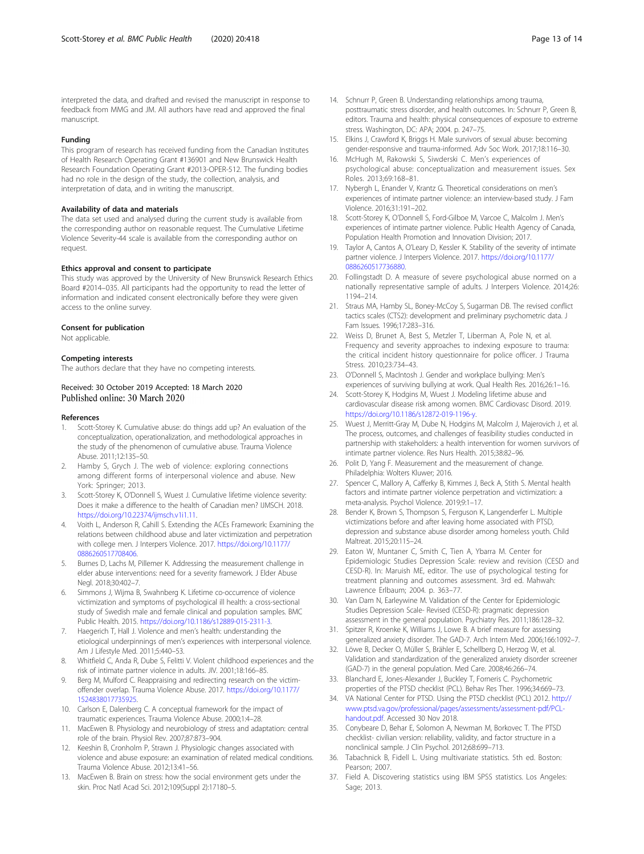<span id="page-12-0"></span>interpreted the data, and drafted and revised the manuscript in response to feedback from MMG and JM. All authors have read and approved the final manuscript.

# Funding

This program of research has received funding from the Canadian Institutes of Health Research Operating Grant #136901 and New Brunswick Health Research Foundation Operating Grant #2013-OPER-512. The funding bodies had no role in the design of the study, the collection, analysis, and interpretation of data, and in writing the manuscript.

#### Availability of data and materials

The data set used and analysed during the current study is available from the corresponding author on reasonable request. The Cumulative Lifetime Violence Severity-44 scale is available from the corresponding author on request.

#### Ethics approval and consent to participate

This study was approved by the University of New Brunswick Research Ethics Board #2014–035. All participants had the opportunity to read the letter of information and indicated consent electronically before they were given access to the online survey.

# Consent for publication

Not applicable.

#### Competing interests

The authors declare that they have no competing interests.

# Received: 30 October 2019 Accepted: 18 March 2020 Published online: 30 March 2020

#### References

- 1. Scott-Storey K. Cumulative abuse: do things add up? An evaluation of the conceptualization, operationalization, and methodological approaches in the study of the phenomenon of cumulative abuse. Trauma Violence Abuse. 2011;12:135–50.
- 2. Hamby S, Grych J. The web of violence: exploring connections among different forms of interpersonal violence and abuse. New York: Springer; 2013.
- 3. Scott-Storey K, O'Donnell S, Wuest J. Cumulative lifetime violence severity: Does it make a difference to the health of Canadian men? IJMSCH. 2018. <https://doi.org/10.22374/ijmsch.v1i1.11>.
- 4. Voith L, Anderson R, Cahill S. Extending the ACEs Framework: Examining the relations between childhood abuse and later victimization and perpetration with college men. J Interpers Violence. 2017. [https://doi.org/10.1177/](https://doi.org/10.1177/0886260517708406) [0886260517708406](https://doi.org/10.1177/0886260517708406).
- 5. Burnes D, Lachs M, Pillemer K. Addressing the measurement challenge in elder abuse interventions: need for a severity framework. J Elder Abuse Negl. 2018;30:402–7.
- 6. Simmons J, Wijma B, Swahnberg K. Lifetime co-occurrence of violence victimization and symptoms of psychological ill health: a cross-sectional study of Swedish male and female clinical and population samples. BMC Public Health. 2015. <https://doi.org/10.1186/s12889-015-2311-3>.
- 7. Haegerich T, Hall J. Violence and men's health: understanding the etiological underpinnings of men's experiences with interpersonal violence. Am J Lifestyle Med. 2011;5:440–53.
- 8. Whitfield C, Anda R, Dube S, Felitti V. Violent childhood experiences and the risk of intimate partner violence in adults. JIV. 2001;18:166–85.
- Berg M, Mulford C. Reappraising and redirecting research on the victimoffender overlap. Trauma Violence Abuse. 2017. [https://doi.org/10.1177/](https://doi.org/10.1177/1524838017735925) [1524838017735925](https://doi.org/10.1177/1524838017735925).
- 10. Carlson E, Dalenberg C. A conceptual framework for the impact of traumatic experiences. Trauma Violence Abuse. 2000;1:4–28.
- 11. MacEwen B. Physiology and neurobiology of stress and adaptation: central role of the brain. Physiol Rev. 2007;87:873–904.
- 12. Keeshin B, Cronholm P, Strawn J. Physiologic changes associated with violence and abuse exposure: an examination of related medical conditions. Trauma Violence Abuse. 2012;13:41–56.
- 13. MacEwen B. Brain on stress: how the social environment gets under the skin. Proc Natl Acad Sci. 2012;109(Suppl 2):17180–5.
- 14. Schnurr P, Green B. Understanding relationships among trauma, posttraumatic stress disorder, and health outcomes. In: Schnurr P, Green B, editors. Trauma and health: physical consequences of exposure to extreme stress. Washington, DC: APA; 2004. p. 247–75.
- 15. Elkins J, Crawford K, Briggs H. Male survivors of sexual abuse: becoming gender-responsive and trauma-informed. Adv Soc Work. 2017;18:116–30.
- 16. McHugh M, Rakowski S, Siwderski C. Men's experiences of psychological abuse: conceptualization and measurement issues. Sex Roles. 2013;69:168–81.
- 17. Nybergh L, Enander V, Krantz G. Theoretical considerations on men's experiences of intimate partner violence: an interview-based study. J Fam Violence. 2016;31:191–202.
- 18. Scott-Storey K, O'Donnell S, Ford-Gilboe M, Varcoe C, Malcolm J. Men's experiences of intimate partner violence. Public Health Agency of Canada, Population Health Promotion and Innovation Division; 2017.
- 19. Taylor A, Cantos A, O'Leary D, Kessler K. Stability of the severity of intimate partner violence. J Interpers Violence. 2017. [https://doi.org/10.1177/](https://doi.org/10.1177/0886260517736880) [0886260517736880](https://doi.org/10.1177/0886260517736880).
- 20. Follingstadt D. A measure of severe psychological abuse normed on a nationally representative sample of adults. J Interpers Violence. 2014;26: 1194–214.
- 21. Straus MA, Hamby SL, Boney-McCoy S, Sugarman DB. The revised conflict tactics scales (CTS2): development and preliminary psychometric data. J Fam Issues. 1996;17:283–316.
- 22. Weiss D, Brunet A, Best S, Metzler T, Liberman A, Pole N, et al. Frequency and severity approaches to indexing exposure to trauma: the critical incident history questionnaire for police officer. J Trauma Stress. 2010;23:734–43.
- 23. O'Donnell S, MacIntosh J. Gender and workplace bullying: Men's experiences of surviving bullying at work. Qual Health Res. 2016;26:1–16.
- 24. Scott-Storey K, Hodgins M, Wuest J. Modeling lifetime abuse and cardiovascular disease risk among women. BMC Cardiovasc Disord. 2019. [https://doi.org/10.1186/s12872-019-1196-y.](https://doi.org/10.1186/s12872-019-1196-y)
- 25. Wuest J, Merritt-Gray M, Dube N, Hodgins M, Malcolm J, Majerovich J, et al. The process, outcomes, and challenges of feasibility studies conducted in partnership with stakeholders: a health intervention for women survivors of intimate partner violence. Res Nurs Health. 2015;38:82–96.
- 26. Polit D, Yang F. Measurement and the measurement of change. Philadelphia: Wolters Kluwer; 2016.
- 27. Spencer C, Mallory A, Cafferky B, Kimmes J, Beck A, Stith S. Mental health factors and intimate partner violence perpetration and victimization: a meta-analysis. Psychol Violence. 2019;9:1–17.
- 28. Bender K, Brown S, Thompson S, Ferguson K, Langenderfer L. Multiple victimizations before and after leaving home associated with PTSD, depression and substance abuse disorder among homeless youth. Child Maltreat. 2015;20:115–24.
- 29. Eaton W, Muntaner C, Smith C, Tien A, Ybarra M. Center for Epidemiologic Studies Depression Scale: review and revision (CESD and CESD-R). In: Maruish ME, editor. The use of psychological testing for treatment planning and outcomes assessment. 3rd ed. Mahwah: Lawrence Erlbaum; 2004. p. 363–77.
- 30. Van Dam N, Earleywine M. Validation of the Center for Epidemiologic Studies Depression Scale- Revised (CESD-R): pragmatic depression assessment in the general population. Psychiatry Res. 2011;186:128–32.
- 31. Spitzer R, Kroenke K, Williams J, Lowe B. A brief measure for assessing generalized anxiety disorder. The GAD-7. Arch Intern Med. 2006;166:1092–7.
- 32. Löwe B, Decker O, Müller S, Brähler E, Schellberg D, Herzog W, et al. Validation and standardization of the generalized anxiety disorder screener (GAD-7) in the general population. Med Care. 2008;46:266–74.
- 33. Blanchard E, Jones-Alexander J, Buckley T, Forneris C. Psychometric properties of the PTSD checklist (PCL). Behav Res Ther. 1996;34:669–73.
- 34. VA National Center for PTSD. Using the PTSD checklist (PCL) 2012. [http://](http://www.ptsd.va.gov/professional/pages/assessments/assessment-pdf/PCL-handout.pdf) [www.ptsd.va.gov/professional/pages/assessments/assessment-pdf/PCL](http://www.ptsd.va.gov/professional/pages/assessments/assessment-pdf/PCL-handout.pdf)[handout.pdf.](http://www.ptsd.va.gov/professional/pages/assessments/assessment-pdf/PCL-handout.pdf) Accessed 30 Nov 2018.
- 35. Conybeare D, Behar E, Solomon A, Newman M, Borkovec T. The PTSD checklist- civilian version: reliability, validity, and factor structure in a nonclinical sample. J Clin Psychol. 2012;68:699–713.
- 36. Tabachnick B, Fidell L. Using multivariate statistics. 5th ed. Boston: Pearson; 2007.
- 37. Field A. Discovering statistics using IBM SPSS statistics. Los Angeles: Sage; 2013.